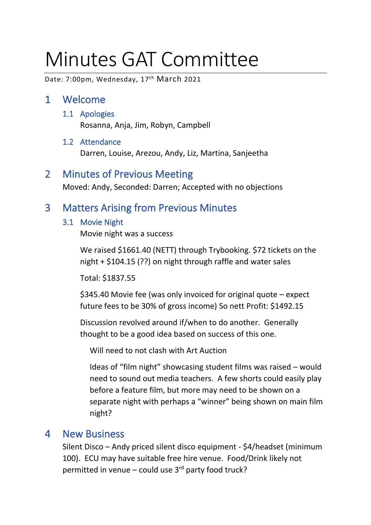# Minutes GAT Committee

Date: 7:00pm, Wednesday, 17th March 2021

# 1 Welcome

- 1.1 Apologies Rosanna, Anja, Jim, Robyn, Campbell
- 1.2 Attendance Darren, Louise, Arezou, Andy, Liz, Martina, Sanjeetha

## 2 Minutes of Previous Meeting

Moved: Andy, Seconded: Darren; Accepted with no objections

# 3 Matters Arising from Previous Minutes

#### 3.1 Movie Night

Movie night was a success

We raised \$1661.40 (NETT) through Trybooking. \$72 tickets on the night + \$104.15 (??) on night through raffle and water sales

Total: \$1837.55

\$345.40 Movie fee (was only invoiced for original quote – expect future fees to be 30% of gross income) So nett Profit: \$1492.15

Discussion revolved around if/when to do another. Generally thought to be a good idea based on success of this one.

Will need to not clash with Art Auction

Ideas of "film night" showcasing student films was raised – would need to sound out media teachers. A few shorts could easily play before a feature film, but more may need to be shown on a separate night with perhaps a "winner" being shown on main film night?

### 4 New Business

Silent Disco – Andy priced silent disco equipment - \$4/headset (minimum 100). ECU may have suitable free hire venue. Food/Drink likely not permitted in venue – could use  $3<sup>rd</sup>$  party food truck?